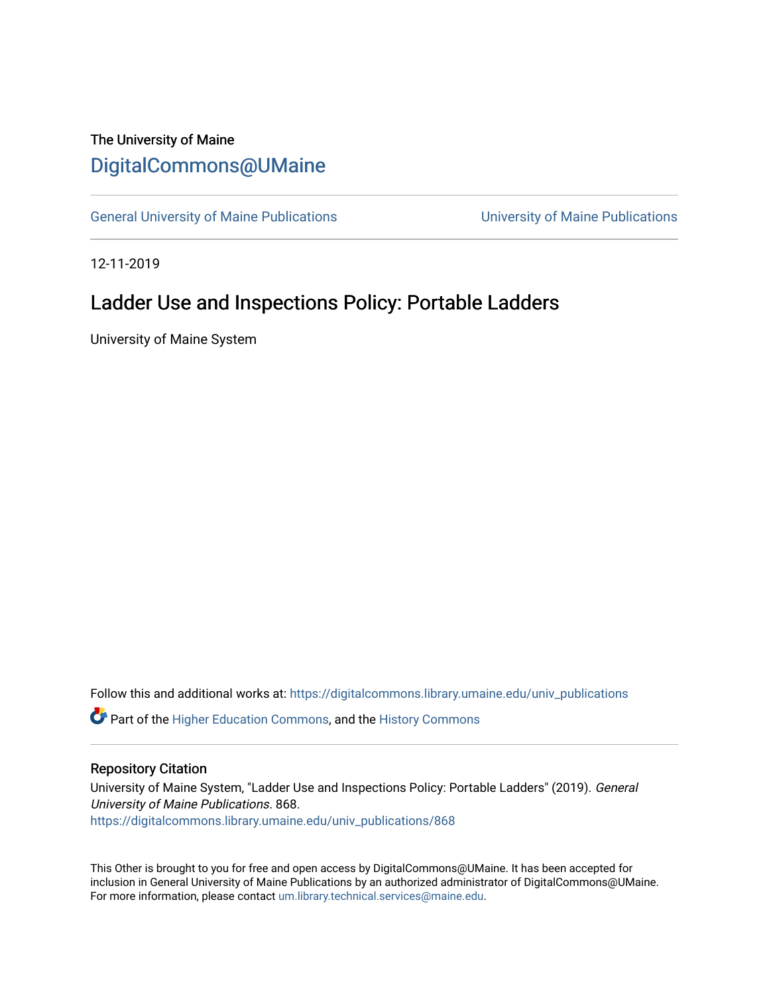# The University of Maine [DigitalCommons@UMaine](https://digitalcommons.library.umaine.edu/)

[General University of Maine Publications](https://digitalcommons.library.umaine.edu/univ_publications) [University of Maine Publications](https://digitalcommons.library.umaine.edu/umaine_publications) 

12-11-2019

# Ladder Use and Inspections Policy: Portable Ladders

University of Maine System

Follow this and additional works at: [https://digitalcommons.library.umaine.edu/univ\\_publications](https://digitalcommons.library.umaine.edu/univ_publications?utm_source=digitalcommons.library.umaine.edu%2Funiv_publications%2F868&utm_medium=PDF&utm_campaign=PDFCoverPages) 

**C** Part of the [Higher Education Commons,](http://network.bepress.com/hgg/discipline/1245?utm_source=digitalcommons.library.umaine.edu%2Funiv_publications%2F868&utm_medium=PDF&utm_campaign=PDFCoverPages) and the [History Commons](http://network.bepress.com/hgg/discipline/489?utm_source=digitalcommons.library.umaine.edu%2Funiv_publications%2F868&utm_medium=PDF&utm_campaign=PDFCoverPages)

#### Repository Citation

University of Maine System, "Ladder Use and Inspections Policy: Portable Ladders" (2019). General University of Maine Publications. 868. [https://digitalcommons.library.umaine.edu/univ\\_publications/868](https://digitalcommons.library.umaine.edu/univ_publications/868?utm_source=digitalcommons.library.umaine.edu%2Funiv_publications%2F868&utm_medium=PDF&utm_campaign=PDFCoverPages) 

This Other is brought to you for free and open access by DigitalCommons@UMaine. It has been accepted for inclusion in General University of Maine Publications by an authorized administrator of DigitalCommons@UMaine. For more information, please contact [um.library.technical.services@maine.edu](mailto:um.library.technical.services@maine.edu).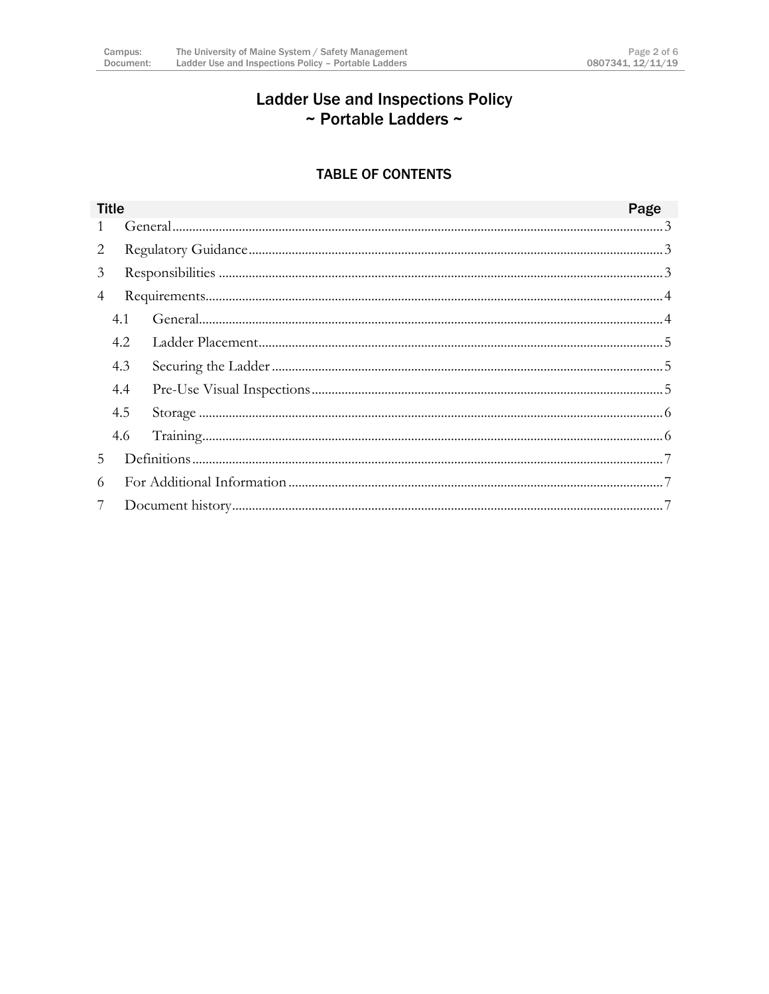## **Ladder Use and Inspections Policy** ~ Portable Ladders ~

### **TABLE OF CONTENTS**

| <b>Title</b>   |     |  | Page |  |
|----------------|-----|--|------|--|
|                |     |  |      |  |
| 2              |     |  |      |  |
| 3              |     |  |      |  |
| 4              |     |  |      |  |
|                | 4.1 |  |      |  |
|                | 4.2 |  |      |  |
|                | 4.3 |  |      |  |
|                | 4.4 |  |      |  |
|                | 4.5 |  |      |  |
|                | 4.6 |  |      |  |
| 5.             |     |  |      |  |
| 6              |     |  |      |  |
| $\overline{7}$ |     |  |      |  |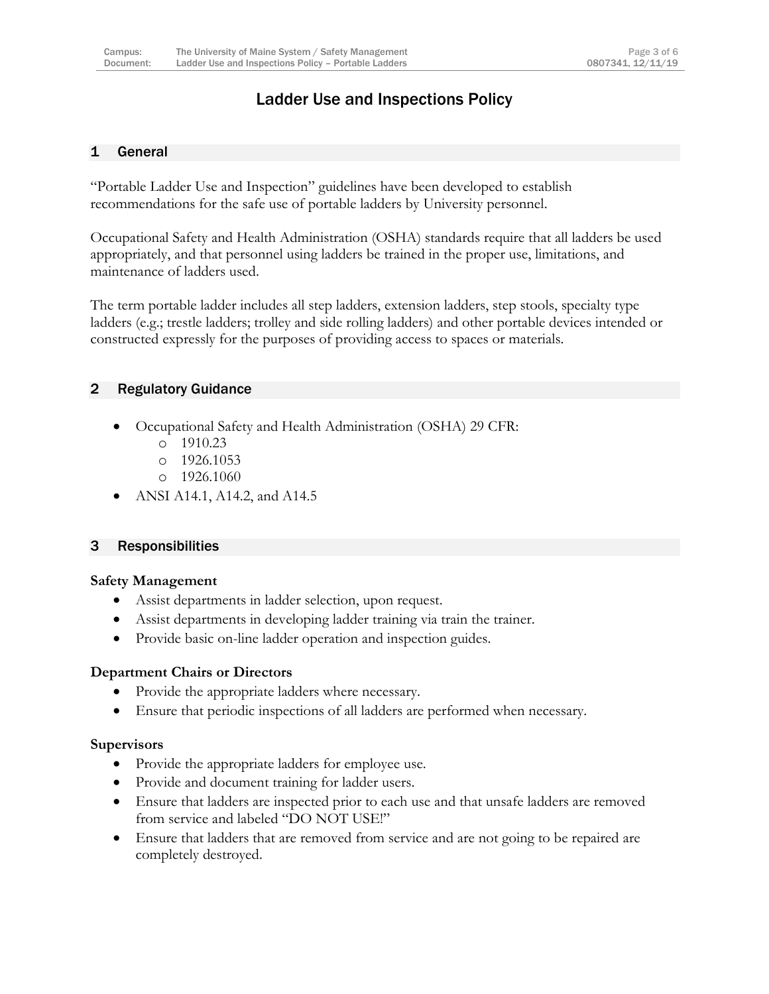### Ladder Use and Inspections Policy

#### <span id="page-2-0"></span>1 General

"Portable Ladder Use and Inspection" guidelines have been developed to establish recommendations for the safe use of portable ladders by University personnel.

Occupational Safety and Health Administration (OSHA) standards require that all ladders be used appropriately, and that personnel using ladders be trained in the proper use, limitations, and maintenance of ladders used.

The term portable ladder includes all step ladders, extension ladders, step stools, specialty type ladders (e.g.; trestle ladders; trolley and side rolling ladders) and other portable devices intended or constructed expressly for the purposes of providing access to spaces or materials.

#### <span id="page-2-1"></span>2 Regulatory Guidance

- Occupational Safety and Health Administration (OSHA) 29 CFR:
	- o 1910.23
	- o 1926.1053
	- o 1926.1060
- ANSI A14.1, A14.2, and A14.5

#### <span id="page-2-2"></span>3 Responsibilities

#### **Safety Management**

- Assist departments in ladder selection, upon request.
- Assist departments in developing ladder training via train the trainer.
- Provide basic on-line ladder operation and inspection guides.

#### **Department Chairs or Directors**

- Provide the appropriate ladders where necessary.
- Ensure that periodic inspections of all ladders are performed when necessary.

#### **Supervisors**

- Provide the appropriate ladders for employee use.
- Provide and document training for ladder users.
- Ensure that ladders are inspected prior to each use and that unsafe ladders are removed from service and labeled "DO NOT USE!"
- Ensure that ladders that are removed from service and are not going to be repaired are completely destroyed.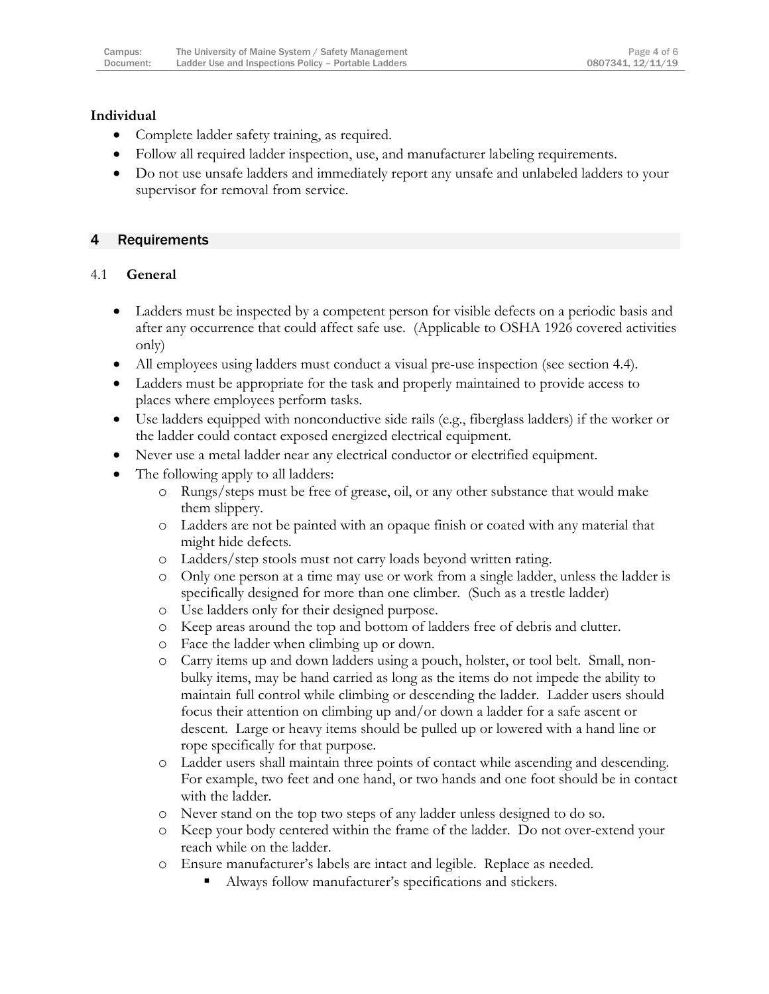#### **Individual**

- Complete ladder safety training, as required.
- Follow all required ladder inspection, use, and manufacturer labeling requirements.
- Do not use unsafe ladders and immediately report any unsafe and unlabeled ladders to your supervisor for removal from service.

#### <span id="page-3-0"></span>4 Requirements

#### <span id="page-3-1"></span>4.1 **General**

- Ladders must be inspected by a competent person for visible defects on a periodic basis and after any occurrence that could affect safe use. (Applicable to OSHA 1926 covered activities only)
- All employees using ladders must conduct a visual pre-use inspection (see section 4.4).
- Ladders must be appropriate for the task and properly maintained to provide access to places where employees perform tasks.
- Use ladders equipped with nonconductive side rails (e.g., fiberglass ladders) if the worker or the ladder could contact exposed energized electrical equipment.
- Never use a metal ladder near any electrical conductor or electrified equipment.
- The following apply to all ladders:
	- o Rungs/steps must be free of grease, oil, or any other substance that would make them slippery.
	- o Ladders are not be painted with an opaque finish or coated with any material that might hide defects.
	- o Ladders/step stools must not carry loads beyond written rating.
	- o Only one person at a time may use or work from a single ladder, unless the ladder is specifically designed for more than one climber. (Such as a trestle ladder)
	- o Use ladders only for their designed purpose.
	- o Keep areas around the top and bottom of ladders free of debris and clutter.
	- o Face the ladder when climbing up or down.
	- o Carry items up and down ladders using a pouch, holster, or tool belt. Small, nonbulky items, may be hand carried as long as the items do not impede the ability to maintain full control while climbing or descending the ladder. Ladder users should focus their attention on climbing up and/or down a ladder for a safe ascent or descent. Large or heavy items should be pulled up or lowered with a hand line or rope specifically for that purpose.
	- o Ladder users shall maintain three points of contact while ascending and descending. For example, two feet and one hand, or two hands and one foot should be in contact with the ladder.
	- o Never stand on the top two steps of any ladder unless designed to do so.
	- o Keep your body centered within the frame of the ladder. Do not over-extend your reach while on the ladder.
	- o Ensure manufacturer's labels are intact and legible. Replace as needed.
		- Always follow manufacturer's specifications and stickers.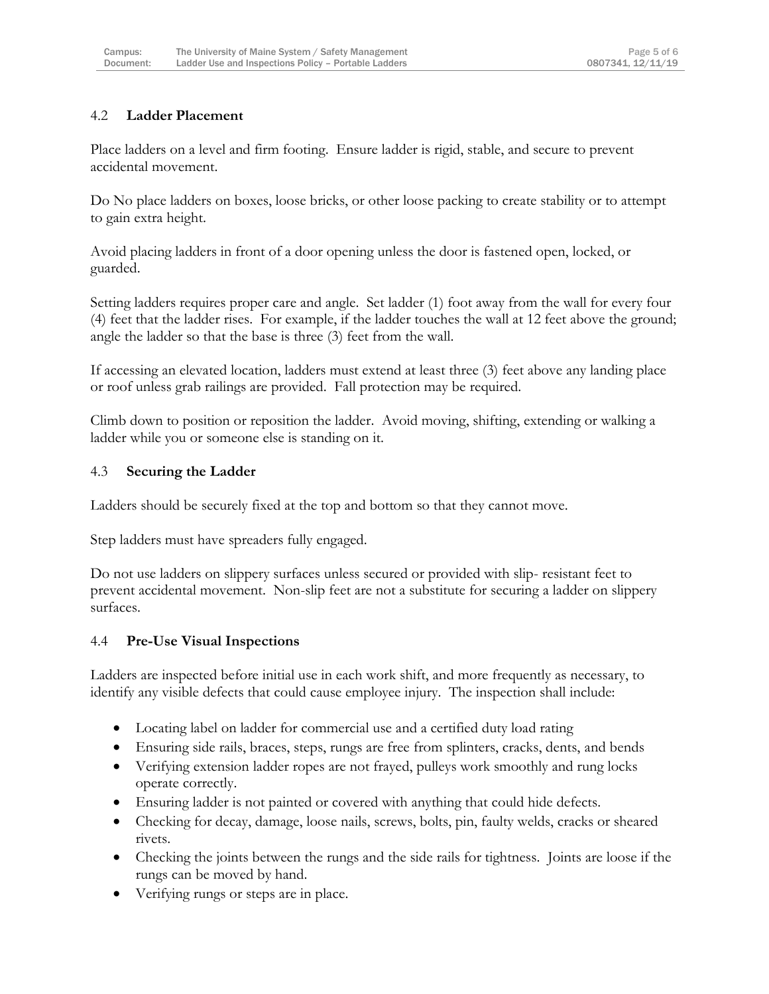#### <span id="page-4-0"></span>4.2 **Ladder Placement**

Place ladders on a level and firm footing. Ensure ladder is rigid, stable, and secure to prevent accidental movement.

Do No place ladders on boxes, loose bricks, or other loose packing to create stability or to attempt to gain extra height.

Avoid placing ladders in front of a door opening unless the door is fastened open, locked, or guarded.

Setting ladders requires proper care and angle. Set ladder (1) foot away from the wall for every four (4) feet that the ladder rises. For example, if the ladder touches the wall at 12 feet above the ground; angle the ladder so that the base is three (3) feet from the wall.

If accessing an elevated location, ladders must extend at least three (3) feet above any landing place or roof unless grab railings are provided. Fall protection may be required.

Climb down to position or reposition the ladder. Avoid moving, shifting, extending or walking a ladder while you or someone else is standing on it.

#### <span id="page-4-1"></span>4.3 **Securing the Ladder**

Ladders should be securely fixed at the top and bottom so that they cannot move.

Step ladders must have spreaders fully engaged.

Do not use ladders on slippery surfaces unless secured or provided with slip- resistant feet to prevent accidental movement. Non-slip feet are not a substitute for securing a ladder on slippery surfaces.

#### <span id="page-4-2"></span>4.4 **Pre-Use Visual Inspections**

Ladders are inspected before initial use in each work shift, and more frequently as necessary, to identify any visible defects that could cause employee injury. The inspection shall include:

- Locating label on ladder for commercial use and a certified duty load rating
- Ensuring side rails, braces, steps, rungs are free from splinters, cracks, dents, and bends
- Verifying extension ladder ropes are not frayed, pulleys work smoothly and rung locks operate correctly.
- Ensuring ladder is not painted or covered with anything that could hide defects.
- Checking for decay, damage, loose nails, screws, bolts, pin, faulty welds, cracks or sheared rivets.
- Checking the joints between the rungs and the side rails for tightness. Joints are loose if the rungs can be moved by hand.
- Verifying rungs or steps are in place.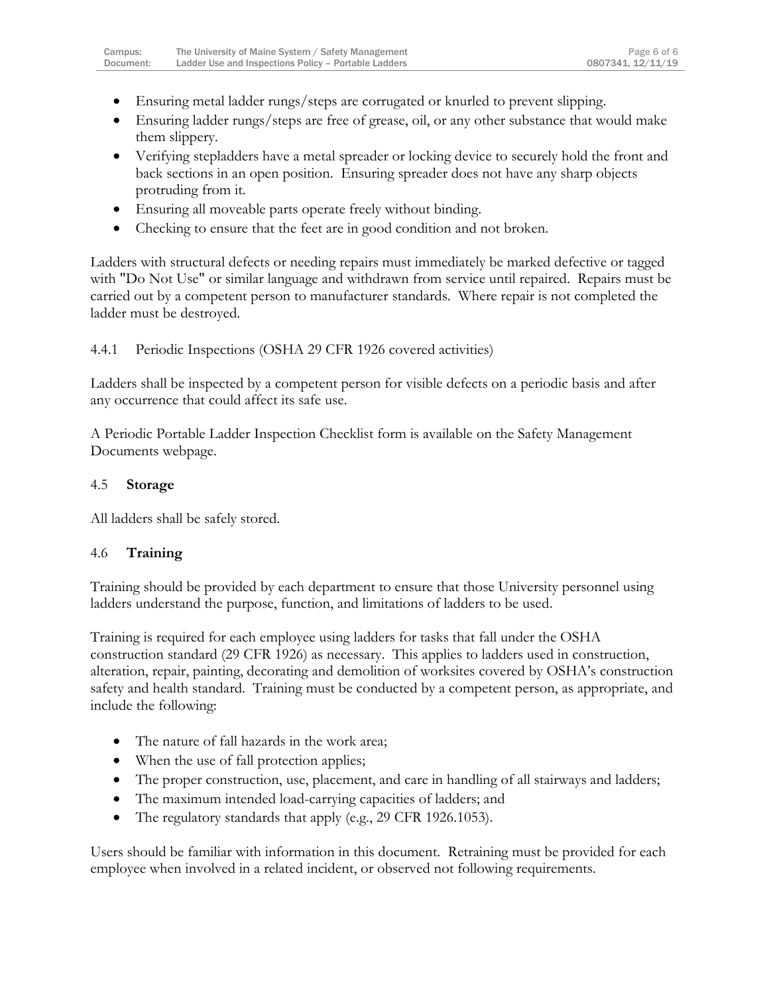- Ensuring metal ladder rungs/steps are corrugated or knurled to prevent slipping.
- Ensuring ladder rungs/steps are free of grease, oil, or any other substance that would make them slippery.
- Verifying stepladders have a metal spreader or locking device to securely hold the front and back sections in an open position. Ensuring spreader does not have any sharp objects protruding from it.
- Ensuring all moveable parts operate freely without binding.
- Checking to ensure that the feet are in good condition and not broken.

Ladders with structural defects or needing repairs must immediately be marked defective or tagged with "Do Not Use" or similar language and withdrawn from service until repaired. Repairs must be carried out by a competent person to manufacturer standards. Where repair is not completed the ladder must be destroyed.

4.4.1 Periodic Inspections (OSHA 29 CFR 1926 covered activities)

Ladders shall be inspected by a competent person for visible defects on a periodic basis and after any occurrence that could affect its safe use.

A Periodic Portable Ladder Inspection Checklist form is available on the Safety Management Documents webpage.

#### <span id="page-5-0"></span>4.5 **Storage**

All ladders shall be safely stored.

#### <span id="page-5-1"></span>4.6 **Training**

Training should be provided by each department to ensure that those University personnel using ladders understand the purpose, function, and limitations of ladders to be used.

Training is required for each employee using ladders for tasks that fall under the OSHA construction standard (29 CFR 1926) as necessary. This applies to ladders used in construction, alteration, repair, painting, decorating and demolition of worksites covered by OSHA's construction safety and health standard. Training must be conducted by a competent person, as appropriate, and include the following:

- The nature of fall hazards in the work area;
- When the use of fall protection applies;
- The proper construction, use, placement, and care in handling of all stairways and ladders;
- The maximum intended load-carrying capacities of ladders; and
- The regulatory standards that apply (e.g., 29 CFR 1926.1053).

Users should be familiar with information in this document. Retraining must be provided for each employee when involved in a related incident, or observed not following requirements.